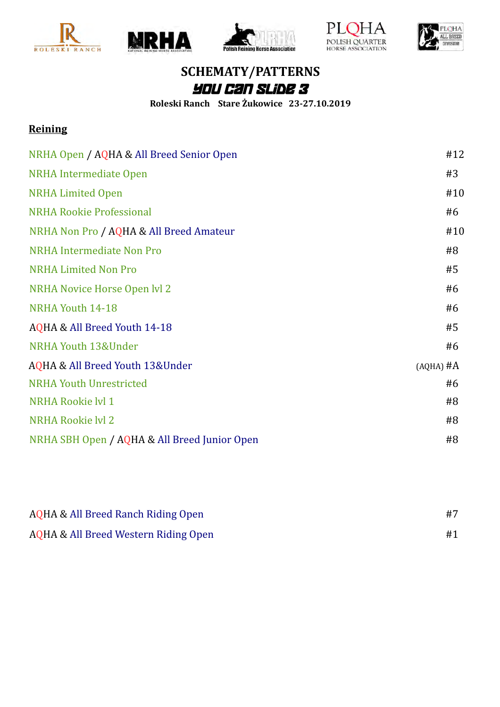









## **SCHEMATY/PATTERNS** You Can Slide 3

**Roleski Ranch Stare Żukowice 23-27.10.2019**

#### **Reining**

| NRHA Open / AQHA & All Breed Senior Open     | #12         |
|----------------------------------------------|-------------|
| <b>NRHA</b> Intermediate Open                | #3          |
| <b>NRHA Limited Open</b>                     | #10         |
| <b>NRHA Rookie Professional</b>              | #6          |
| NRHA Non Pro / AQHA & All Breed Amateur      | #10         |
| <b>NRHA Intermediate Non Pro</b>             | #8          |
| <b>NRHA Limited Non Pro</b>                  | #5          |
| NRHA Novice Horse Open lvl 2                 | #6          |
| NRHA Youth 14-18                             | #6          |
| AQHA & All Breed Youth 14-18                 | #5          |
| NRHA Youth 13&Under                          | #6          |
| AQHA & All Breed Youth 13&Under              | $(AQHA)$ #A |
| <b>NRHA Youth Unrestricted</b>               | #6          |
| NRHA Rookie lyl 1                            | #8          |
| <b>NRHA Rookie lvl 2</b>                     | #8          |
| NRHA SBH Open / AQHA & All Breed Junior Open | #8          |

| AQHA & All Breed Ranch Riding Open   |  |
|--------------------------------------|--|
| AQHA & All Breed Western Riding Open |  |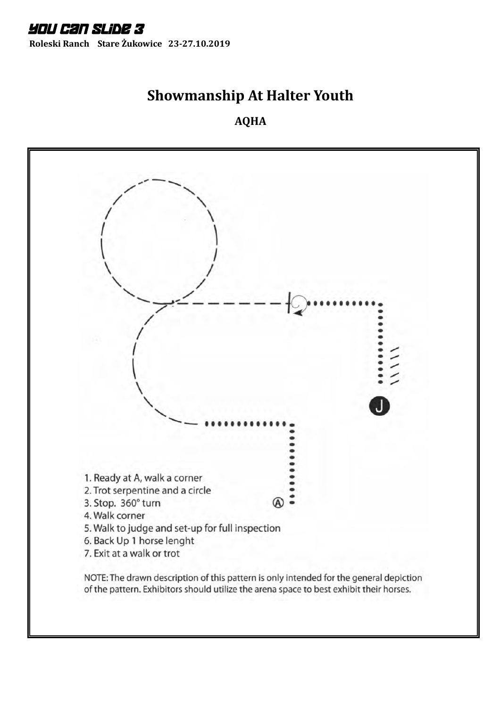**Roleski Ranch Stare Żukowice 23-27.10.2019**

## **Showmanship At Halter Youth**

**AQHA**

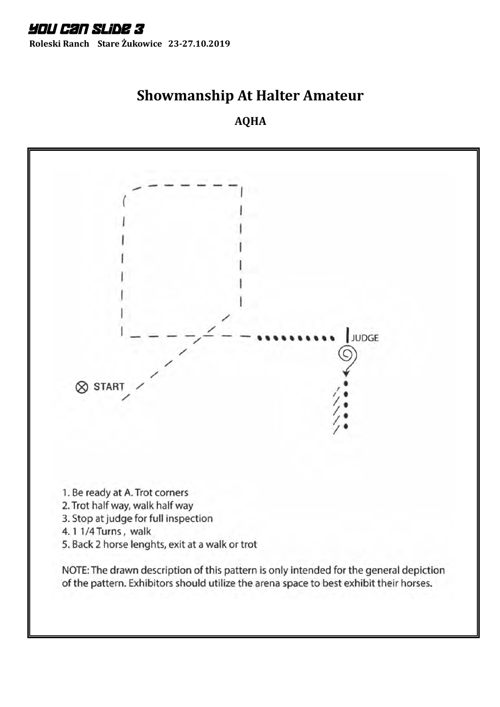## **Showmanship At Halter Amateur**

#### **AQHA**

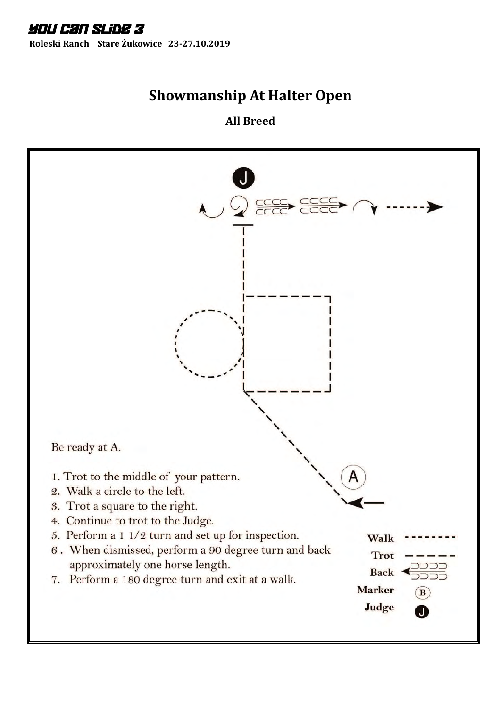# **Showmanship At Halter Open**

**All Breed**

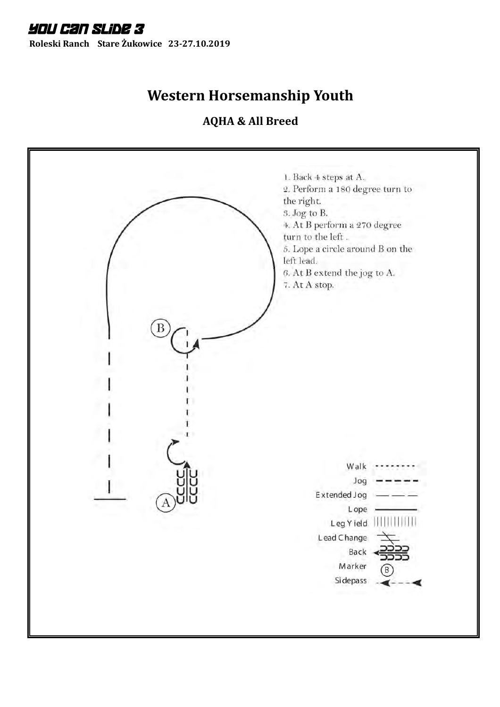## **Western Horsemanship Youth**

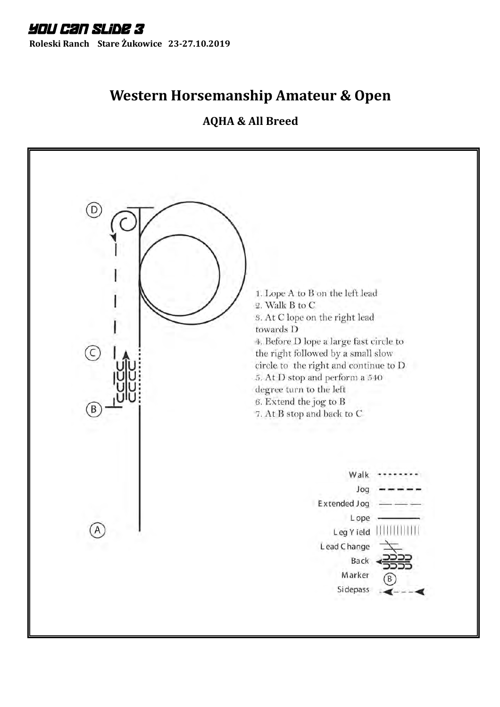## **Western Horsemanship Amateur & Open**

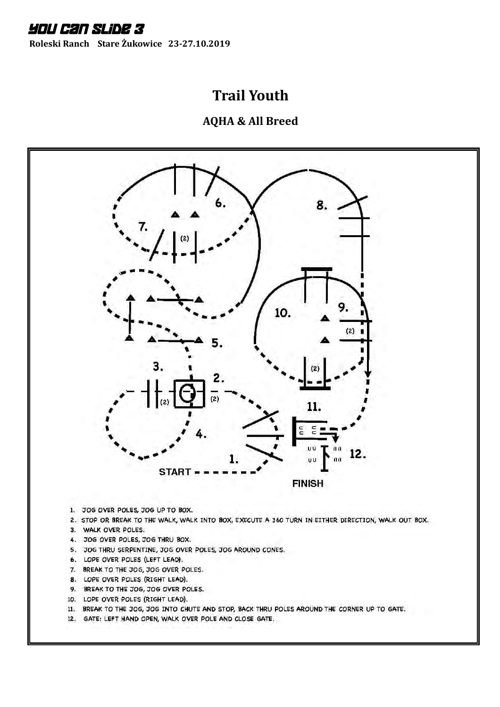**Roleski Ranch Stare Żukowice 23-27.10.2019**

## **Trail Youth**



- 1. JOG OVER POLES, JOG UP TO BOX.
- 2. STOP OR BREAK TO THE WALK, WALK INTO BOX, EXECUTE A 360 TURN IN EITHER DIRECTION, WALK OUT BOX.
- 3. WALK OVER POLES.
- 4. JOG OVER POLES, JOG THRU BOX.
- 5. JOG THRU SERPENTINE, JOG OVER POLES, JOG AROUND CONES.
- 6. LOPE OVER POLES (LEFT LEAD).
- 7. BREAK TO THE JOG, JOG OVER POLES.
- 8. LOPE OVER POLES (RIGHT LEAD).
- 9. BREAK TO THE JOG, JOG OVER POLES.
- 10. LOPE OVER POLES (RIGHT LEAD).
- II. BREAK TO THE JOG, JOG INTO CHUTE AND STOP, BACK THRU POLES AROUND THE CORNER UP TO GATE.
- 12. GATE: LEFT HAND OPEN, WALK OVER POLE AND CLOSE GATE.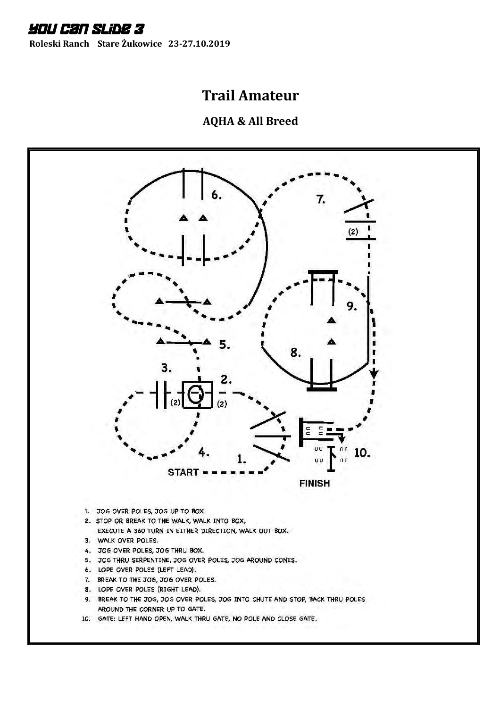**Roleski Ranch Stare Żukowice 23-27.10.2019**

## **Trail Amateur**

**AQHA & All Breed**



10. GATE: LEFT HAND OPEN, WALK THRU GATE, NO POLE AND CLOSE GATE.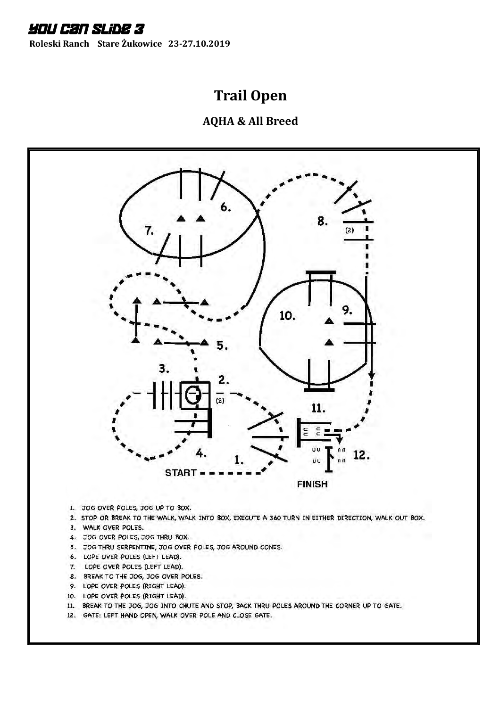**Roleski Ranch Stare Żukowice 23-27.10.2019**

# **Trail Open**



- 2. STOP OR BREAK TO THE WALK, WALK INTO BOX, EXECUTE A 360 TURN IN EITHER DIRECTION, WALK OUT BOX.
- 3. WALK OVER POLES.
- 4. JOG OVER POLES, JOG THRU BOX.
- 5. JOG THRU SERPENTINE, JOG OVER POLES, JOG AROUND CONES.
- 6. LOPE OVER POLES (LEFT LEAD).
- 7. LOPE OVER POLES (LEFT LEAD).
- 8. BREAK TO THE JOG, JOG OVER POLES.
- 9. LOPE OVER POLES (RIGHT LEAD).
- 10. LOPE OVER POLES (RIGHT LEAD).
- 11. BREAK TO THE JOG, JOG INTO CHUTE AND STOP, BACK THRU POLES AROUND THE CORNER UP TO GATE.
- 12. GATE: LEFT HAND OPEN, WALK OVER POLE AND CLOSE GATE.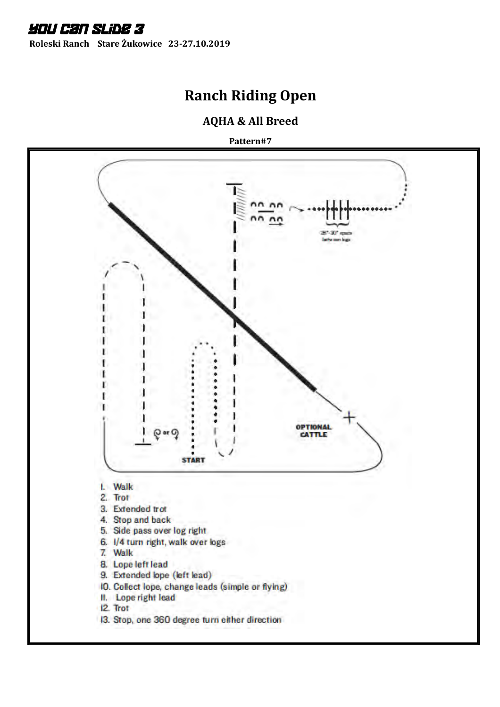**Roleski Ranch Stare Żukowice 23-27.10.2019**

# **Ranch Riding Open**

#### **AQHA & All Breed**

**Pattern#7**

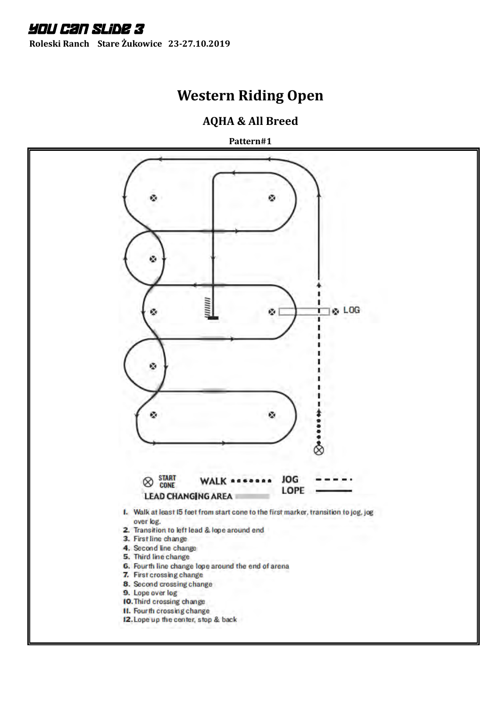**Roleski Ranch Stare Żukowice 23-27.10.2019**

## **Western Riding Open**

#### **AQHA & All Breed**

**Pattern#1**